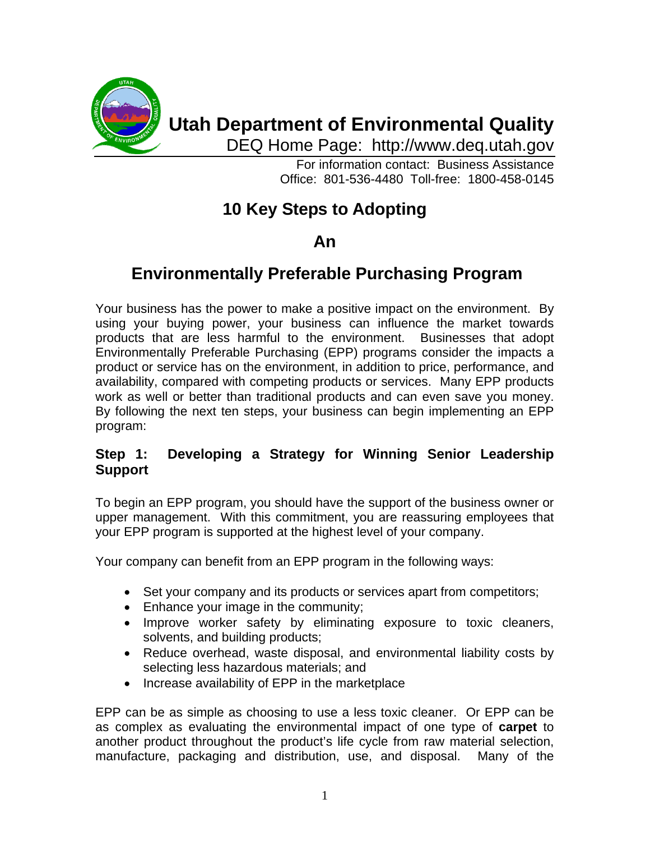

# **Utah Department of Environmental Quality**

DEQ Home Page: http://www.deq.utah.gov

For information contact: Business Assistance Office: 801-536-4480 Toll-free: 1800-458-0145

## **10 Key Steps to Adopting**

## **An**

## **Environmentally Preferable Purchasing Program**

Your business has the power to make a positive impact on the environment. By using your buying power, your business can influence the market towards products that are less harmful to the environment. Businesses that adopt Environmentally Preferable Purchasing (EPP) programs consider the impacts a product or service has on the environment, in addition to price, performance, and availability, compared with competing products or services. Many EPP products work as well or better than traditional products and can even save you money. By following the next ten steps, your business can begin implementing an EPP program:

## **Step 1: Developing a Strategy for Winning Senior Leadership Support**

To begin an EPP program, you should have the support of the business owner or upper management. With this commitment, you are reassuring employees that your EPP program is supported at the highest level of your company.

Your company can benefit from an EPP program in the following ways:

- Set your company and its products or services apart from competitors;
- Enhance your image in the community;
- Improve worker safety by eliminating exposure to toxic cleaners, solvents, and building products;
- Reduce overhead, waste disposal, and environmental liability costs by selecting less hazardous materials; and
- Increase availability of EPP in the marketplace

EPP can be as simple as choosing to use a less toxic cleaner. Or EPP can be as complex as evaluating the environmental impact of one type of **carpet** to another product throughout the product's life cycle from raw material selection, manufacture, packaging and distribution, use, and disposal. Many of the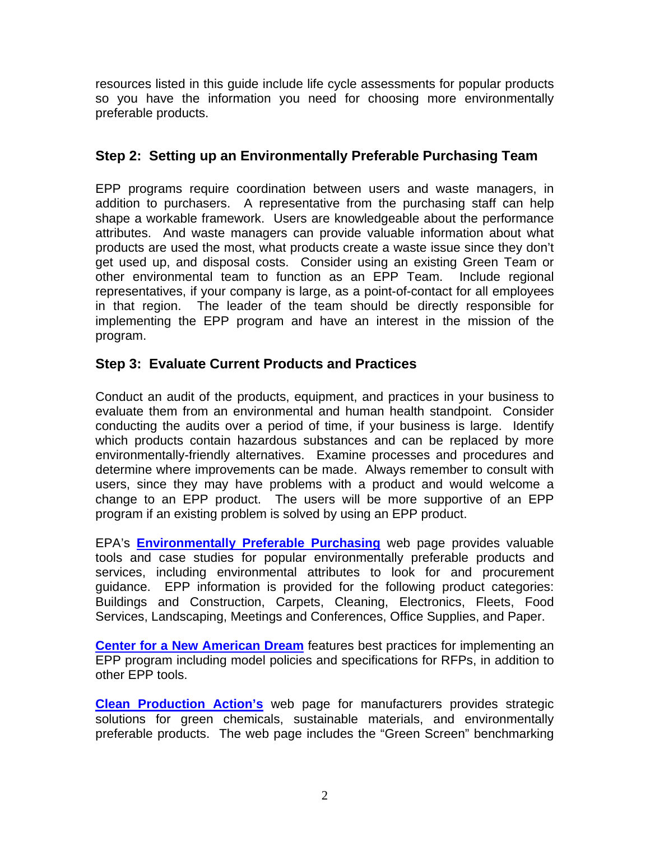resources listed in this guide include life cycle assessments for popular products so you have the information you need for choosing more environmentally preferable products.

## **Step 2: Setting up an Environmentally Preferable Purchasing Team**

EPP programs require coordination between users and waste managers, in addition to purchasers. A representative from the purchasing staff can help shape a workable framework. Users are knowledgeable about the performance attributes. And waste managers can provide valuable information about what products are used the most, what products create a waste issue since they don't get used up, and disposal costs. Consider using an existing Green Team or other environmental team to function as an EPP Team. Include regional representatives, if your company is large, as a point-of-contact for all employees in that region. The leader of the team should be directly responsible for implementing the EPP program and have an interest in the mission of the program.

## **Step 3: Evaluate Current Products and Practices**

Conduct an audit of the products, equipment, and practices in your business to evaluate them from an environmental and human health standpoint. Consider conducting the audits over a period of time, if your business is large. Identify which products contain hazardous substances and can be replaced by more environmentally-friendly alternatives. Examine processes and procedures and determine where improvements can be made. Always remember to consult with users, since they may have problems with a product and would welcome a change to an EPP product. The users will be more supportive of an EPP program if an existing problem is solved by using an EPP product.

EPA's **[Environmentally Preferable Purchasing](http://www.epa.gov/opptintr/epp/index.htm)** web page provides valuable tools and case studies for popular environmentally preferable products and services, including environmental attributes to look for and procurement guidance. EPP information is provided for the following product categories: Buildings and Construction, Carpets, Cleaning, Electronics, Fleets, Food Services, Landscaping, Meetings and Conferences, Office Supplies, and Paper.

**[Center for a New American Dream](http://www.newdream.org/)** features best practices for implementing an EPP program including model policies and specifications for RFPs, in addition to other EPP tools.

**[Clean Production Action's](http://www.cleanproduction.org/Home.php)** web page for manufacturers provides strategic solutions for green chemicals, sustainable materials, and environmentally preferable products. The web page includes the "Green Screen" benchmarking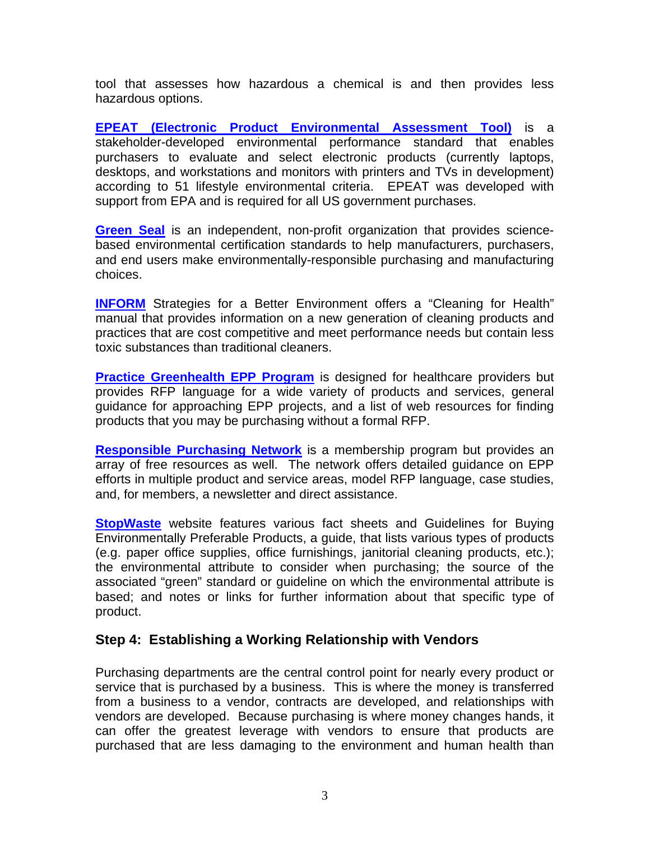tool that assesses how hazardous a chemical is and then provides less hazardous options.

**[EPEAT \(Electronic Product Environmental Assessment Tool\)](http://www.epeat.net/)** is a stakeholder-developed environmental performance standard that enables purchasers to evaluate and select electronic products (currently laptops, desktops, and workstations and monitors with printers and TVs in development) according to 51 lifestyle environmental criteria. EPEAT was developed with support from EPA and is required for all US government purchases.

**[Green Seal](http://www.greenseal.org/)** is an independent, non-profit organization that provides sciencebased environmental certification standards to help manufacturers, purchasers, and end users make environmentally-responsible purchasing and manufacturing choices.

**[INFORM](http://www.informinc.org/)** Strategies for a Better Environment offers a "Cleaning for Health" manual that provides information on a new generation of cleaning products and practices that are cost competitive and meet performance needs but contain less toxic substances than traditional cleaners.

**[Practice Greenhealth EPP Program](http://www.practicegreenhealth.org/)** is designed for healthcare providers but provides RFP language for a wide variety of products and services, general guidance for approaching EPP projects, and a list of web resources for finding products that you may be purchasing without a formal RFP.

**[Responsible Purchasing Network](http://www.responsiblepurchasing.org/)** is a membership program but provides an array of free resources as well. The network offers detailed guidance on EPP efforts in multiple product and service areas, model RFP language, case studies, and, for members, a newsletter and direct assistance.

**[StopWaste](http://www.stopwaste.org/home/index.asp?page=372)** website features various fact sheets and Guidelines for Buying Environmentally Preferable Products, a guide, that lists various types of products (e.g. paper office supplies, office furnishings, janitorial cleaning products, etc.); the environmental attribute to consider when purchasing; the source of the associated "green" standard or guideline on which the environmental attribute is based; and notes or links for further information about that specific type of product.

#### **Step 4: Establishing a Working Relationship with Vendors**

Purchasing departments are the central control point for nearly every product or service that is purchased by a business. This is where the money is transferred from a business to a vendor, contracts are developed, and relationships with vendors are developed. Because purchasing is where money changes hands, it can offer the greatest leverage with vendors to ensure that products are purchased that are less damaging to the environment and human health than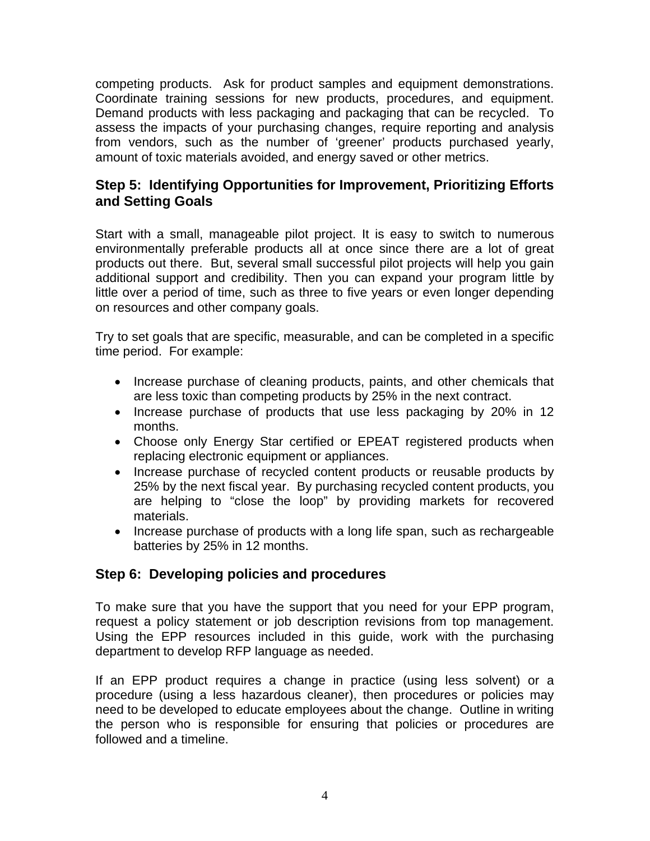competing products. Ask for product samples and equipment demonstrations. Coordinate training sessions for new products, procedures, and equipment. Demand products with less packaging and packaging that can be recycled. To assess the impacts of your purchasing changes, require reporting and analysis from vendors, such as the number of 'greener' products purchased yearly, amount of toxic materials avoided, and energy saved or other metrics.

### **Step 5: Identifying Opportunities for Improvement, Prioritizing Efforts and Setting Goals**

Start with a small, manageable pilot project. It is easy to switch to numerous environmentally preferable products all at once since there are a lot of great products out there. But, several small successful pilot projects will help you gain additional support and credibility. Then you can expand your program little by little over a period of time, such as three to five years or even longer depending on resources and other company goals.

Try to set goals that are specific, measurable, and can be completed in a specific time period. For example:

- Increase purchase of cleaning products, paints, and other chemicals that are less toxic than competing products by 25% in the next contract.
- Increase purchase of products that use less packaging by 20% in 12 months.
- Choose only Energy Star certified or EPEAT registered products when replacing electronic equipment or appliances.
- Increase purchase of recycled content products or reusable products by 25% by the next fiscal year. By purchasing recycled content products, you are helping to "close the loop" by providing markets for recovered materials.
- Increase purchase of products with a long life span, such as rechargeable batteries by 25% in 12 months.

## **Step 6: Developing policies and procedures**

To make sure that you have the support that you need for your EPP program, request a policy statement or job description revisions from top management. Using the EPP resources included in this guide, work with the purchasing department to develop RFP language as needed.

If an EPP product requires a change in practice (using less solvent) or a procedure (using a less hazardous cleaner), then procedures or policies may need to be developed to educate employees about the change. Outline in writing the person who is responsible for ensuring that policies or procedures are followed and a timeline.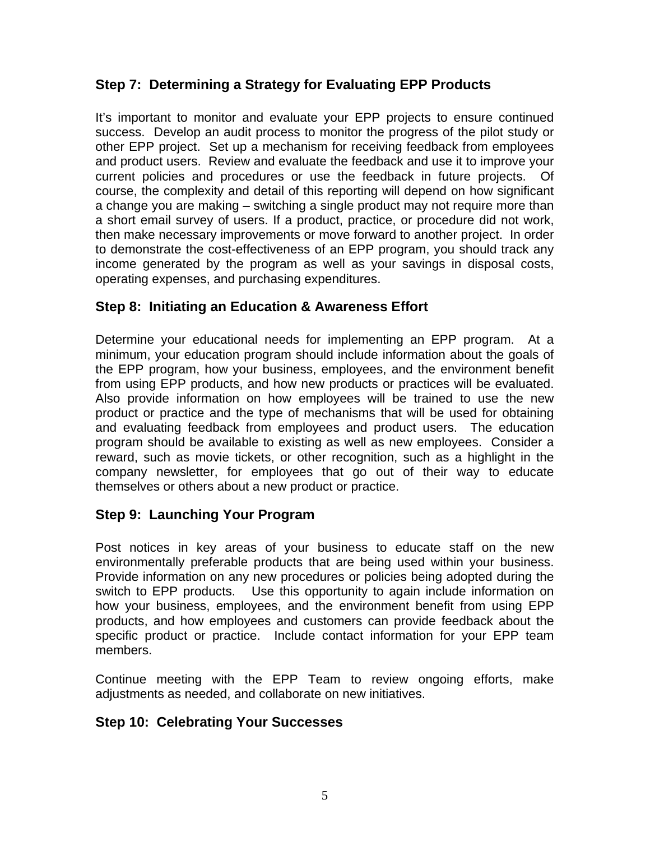## **Step 7: Determining a Strategy for Evaluating EPP Products**

It's important to monitor and evaluate your EPP projects to ensure continued success. Develop an audit process to monitor the progress of the pilot study or other EPP project. Set up a mechanism for receiving feedback from employees and product users. Review and evaluate the feedback and use it to improve your current policies and procedures or use the feedback in future projects. Of course, the complexity and detail of this reporting will depend on how significant a change you are making – switching a single product may not require more than a short email survey of users. If a product, practice, or procedure did not work, then make necessary improvements or move forward to another project. In order to demonstrate the cost-effectiveness of an EPP program, you should track any income generated by the program as well as your savings in disposal costs, operating expenses, and purchasing expenditures.

## **Step 8: Initiating an Education & Awareness Effort**

Determine your educational needs for implementing an EPP program. At a minimum, your education program should include information about the goals of the EPP program, how your business, employees, and the environment benefit from using EPP products, and how new products or practices will be evaluated. Also provide information on how employees will be trained to use the new product or practice and the type of mechanisms that will be used for obtaining and evaluating feedback from employees and product users. The education program should be available to existing as well as new employees. Consider a reward, such as movie tickets, or other recognition, such as a highlight in the company newsletter, for employees that go out of their way to educate themselves or others about a new product or practice.

## **Step 9: Launching Your Program**

Post notices in key areas of your business to educate staff on the new environmentally preferable products that are being used within your business. Provide information on any new procedures or policies being adopted during the switch to EPP products. Use this opportunity to again include information on how your business, employees, and the environment benefit from using EPP products, and how employees and customers can provide feedback about the specific product or practice. Include contact information for your EPP team members.

Continue meeting with the EPP Team to review ongoing efforts, make adjustments as needed, and collaborate on new initiatives.

## **Step 10: Celebrating Your Successes**